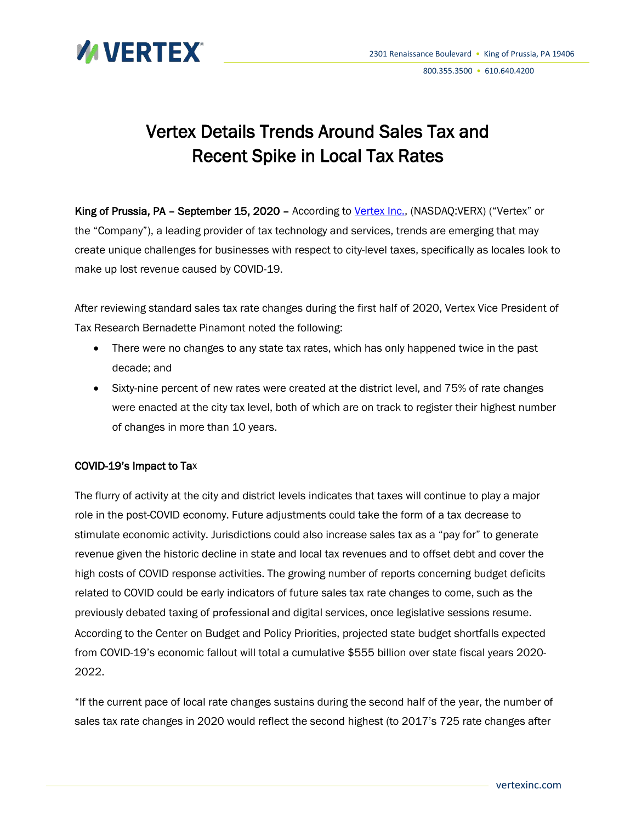

#### 800.355.3500 • 610.640.4200

# Vertex Details Trends Around Sales Tax and Recent Spike in Local Tax Rates

King of Prussia, PA - September 15, 2020 - According to [Vertex Inc.,](https://www.vertexinc.com/solutions/sales-use-tax/?utm_source=press-release&utm_medium=web-wire&utm_campaign=2020PressReleases) (NASDAQ:VERX) ("Vertex" or the "Company"), a leading provider of tax technology and services, trends are emerging that may create unique challenges for businesses with respect to city-level taxes, specifically as locales look to make up lost revenue caused by COVID-19.

After reviewing standard sales tax rate changes during the first half of 2020, Vertex Vice President of Tax Research Bernadette Pinamont noted the following:

- There were no changes to any state tax rates, which has only happened twice in the past decade; and
- Sixty-nine percent of new rates were created at the district level, and 75% of rate changes were enacted at the city tax level, both of which are on track to register their highest number of changes in more than 10 years.

# COVID-19's Impact to Tax

The flurry of activity at the city and district levels indicates that taxes will continue to play a major role in the post-COVID economy. Future adjustments could take the form of a tax decrease to stimulate economic activity. Jurisdictions could also increase sales tax as a "pay for" to generate revenue given the historic decline in state and local tax revenues and to offset debt and cover the high costs of COVID response activities. The growing number of reports concerning budget deficits related to COVID could be early indicators of future sales tax rate changes to come, such as the previously debated taxing of professional and digital services, once legislative sessions resume. According to the Center on Budget and Policy Priorities, projected state budget shortfalls expected from COVID-19's economic fallout will total a cumulative \$555 billion over state fiscal years 2020- 2022.

"If the current pace of local rate changes sustains during the second half of the year, the number of sales tax rate changes in 2020 would reflect the second highest (to 2017's 725 rate changes after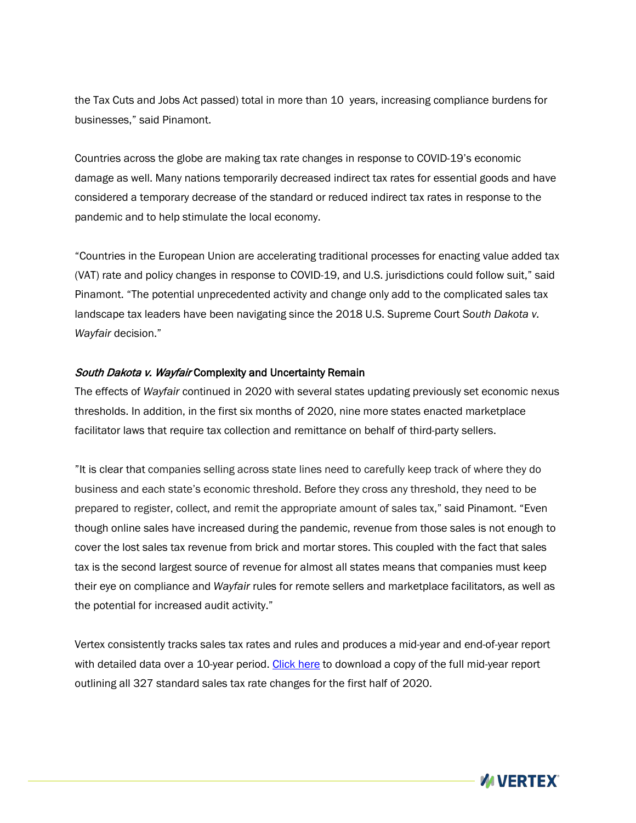the Tax Cuts and Jobs Act passed) total in more than 10 years, increasing compliance burdens for businesses," said Pinamont.

Countries across the globe are making tax rate changes in response to COVID-19's economic damage as well. Many nations temporarily decreased indirect tax rates for essential goods and have considered a temporary decrease of the standard or reduced indirect tax rates in response to the pandemic and to help stimulate the local economy.

"Countries in the European Union are accelerating traditional processes for enacting value added tax (VAT) rate and policy changes in response to COVID-19, and U.S. jurisdictions could follow suit," said Pinamont. "The potential unprecedented activity and change only add to the complicated sales tax landscape tax leaders have been navigating since the 2018 U.S. Supreme Court *South Dakota v. Wayfair* decision."

## South Dakota v. Wayfair Complexity and Uncertainty Remain

The effects of *Wayfair* continued in 2020 with several states updating previously set economic nexus thresholds. In addition, in the first six months of 2020, nine more states enacted marketplace facilitator laws that require tax collection and remittance on behalf of third-party sellers.

"It is clear that companies selling across state lines need to carefully keep track of where they do business and each state's economic threshold. Before they cross any threshold, they need to be prepared to register, collect, and remit the appropriate amount of sales tax," said Pinamont. "Even though online sales have increased during the pandemic, revenue from those sales is not enough to cover the lost sales tax revenue from brick and mortar stores. This coupled with the fact that sales tax is the second largest source of revenue for almost all states means that companies must keep their eye on compliance and *Wayfair* rules for remote sellers and marketplace facilitators, as well as the potential for increased audit activity."

Vertex consistently tracks sales tax rates and rules and produces a mid-year and end-of-year report with detailed data over a 10-year period. [Click here](https://www.vertexinc.com/resources/resource-library/vertex-inc-2020-midyear-sales-tax-rates-and-rules-report?utm_source=press-release&utm_medium=web-wire&utm_campaign=2020PressReleases) to download a copy of the full mid-year report outlining all 327 standard sales tax rate changes for the first half of 2020.